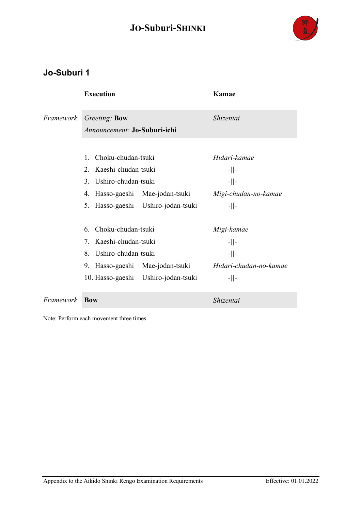

#### **Jo-Suburi 1**

|           | <b>Execution</b>                                 |                                    | Kamae                  |
|-----------|--------------------------------------------------|------------------------------------|------------------------|
| Framework | Greeting: Bow                                    |                                    | Shizentai              |
|           | Announcement: Jo-Suburi-ichi                     |                                    |                        |
|           |                                                  |                                    |                        |
|           | Choku-chudan-tsuki<br>$1_{-}$                    |                                    | Hidari-kamae           |
|           | 2. Kaeshi-chudan-tsuki<br>3. Ushiro-chudan-tsuki |                                    | $-  $ -                |
|           |                                                  |                                    | $-  $ -                |
|           | 4.                                               | Hasso-gaeshi Mae-jodan-tsuki       | Migi-chudan-no-kamae   |
|           |                                                  | 5. Hasso-gaeshi Ushiro-jodan-tsuki | $-  $ -                |
|           | Choku-chudan-tsuki<br>6.                         |                                    | Migi-kamae             |
|           | 7. Kaeshi-chudan-tsuki                           |                                    | $-  $ -                |
|           | 8. Ushiro-chudan-tsuki                           |                                    | $-  $ -                |
|           |                                                  | 9. Hasso-gaeshi Mae-jodan-tsuki    | Hidari-chudan-no-kamae |
|           | 10. Hasso-gaeshi Ushiro-jodan-tsuki              |                                    | $-  $ -                |
| Framework | <b>Bow</b>                                       |                                    | Shizentai              |

Note: Perform each movement three times.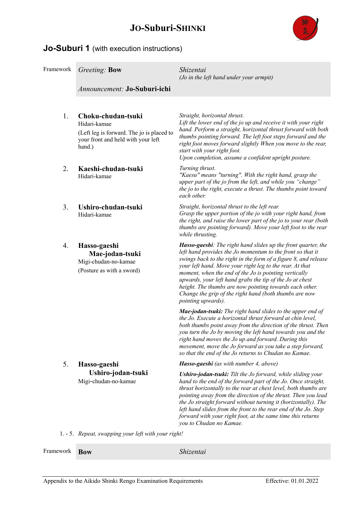

#### **Jo-Suburi 1** (with execution instructions)

| Framework | Greeting: Bow                                                                                                                   | Shizentai<br>(Jo in the left hand under your armpit)                                                                                                                                                                                                                                                                                                                                                                                                                                                                       |
|-----------|---------------------------------------------------------------------------------------------------------------------------------|----------------------------------------------------------------------------------------------------------------------------------------------------------------------------------------------------------------------------------------------------------------------------------------------------------------------------------------------------------------------------------------------------------------------------------------------------------------------------------------------------------------------------|
|           | Announcement: Jo-Suburi-ichi                                                                                                    |                                                                                                                                                                                                                                                                                                                                                                                                                                                                                                                            |
| 1.        | Choku-chudan-tsuki<br>Hidari-kamae<br>(Left leg is forward. The jo is placed to<br>your front and held with your left<br>hand.) | Straight, horizontal thrust.<br>Lift the lower end of the jo up and receive it with your right<br>hand. Perform a straight, horizontal thrust forward with both<br>thumbs pointing forward. The left foot steps forward and the<br>right foot moves forward slightly When you move to the rear,<br>start with your right foot.<br>Upon completion, assume a confident upright posture.                                                                                                                                     |
| 2.        | Kaeshi-chudan-tsuki<br>Hidari-kamae                                                                                             | Turning thrust.<br>"Kaesu" means "turning". With the right hand, grasp the<br>upper part of the jo from the left, and while you "change"<br>the jo to the right, execute a thrust. The thumbs point toward<br>each other.                                                                                                                                                                                                                                                                                                  |
| 3.        | Ushiro-chudan-tsuki<br>Hidari-kamae                                                                                             | Straight, horizontal thrust to the left rear.<br>Grasp the upper portion of the jo with your right hand, from<br>the right, and raise the lower part of the jo to your rear (both<br>thumbs are pointing forward). Move your left foot to the rear<br>while thrusting.                                                                                                                                                                                                                                                     |
| 4.        | Hasso-gaeshi<br>Mae-jodan-tsuki<br>Migi-chudan-no-kamae<br>(Posture as with a sword)                                            | Hasso-gaeshi: The right hand slides up the front quarter, the<br>left hand provides the Jo momentum to the front so that it<br>swings back to the right in the form of a figure 8, and release<br>your left hand. Move your right leg to the rear. At that<br>moment, when the end of the Jo is pointing vertically<br>upwards, your left hand grabs the tip of the Jo at chest<br>height. The thumbs are now pointing towards each other.<br>Change the grip of the right hand (both thumbs are now<br>pointing upwards). |
|           |                                                                                                                                 | Mae-jodan-tsuki: The right hand slides to the upper end of<br>the Jo. Execute a horizontal thrust forward at chin level,<br>both thumbs point away from the direction of the thrust. Then<br>you turn the Jo by moving the left hand towards you and the<br>right hand moves the Jo up and forward. During this<br>movement, move the Jo forward as you take a step forward,<br>so that the end of the Jo returns to Chudan no Kamae.                                                                                      |
| 5.        | Hasso-gaeshi                                                                                                                    | Hasso-gaeshi (as with number 4, above)                                                                                                                                                                                                                                                                                                                                                                                                                                                                                     |
|           | Ushiro-jodan-tsuki<br>Migi-chudan-no-kamae                                                                                      | <b>Ushiro-jodan-tsuki:</b> Tilt the Jo forward, while sliding your<br>hand to the end of the forward part of the Jo. Once straight,<br>thrust horizontally to the rear at chest level, both thumbs are<br>pointing away from the direction of the thrust. Then you lead<br>the Jo straight forward without turning it (horizontally). The<br>left hand slides from the front to the rear end of the Jo. Step<br>forward with your right foot, at the same time this returns<br>you to Chudan no Kamae.                     |
|           | 1. - 5. Repeat, swapping your left with your right!                                                                             |                                                                                                                                                                                                                                                                                                                                                                                                                                                                                                                            |

Appendix to the Aikido Shinki Rengo Examination Requirements Effective: 01.01.2022

Framework **Bow** *Shizentai*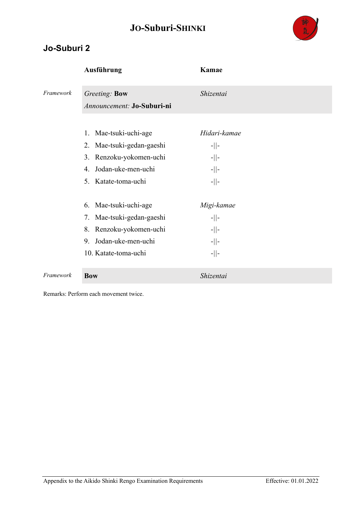

#### **Jo-Suburi 2**

|           | <b>Ausführung</b>                                                                                                                   | Kamae                                                    |
|-----------|-------------------------------------------------------------------------------------------------------------------------------------|----------------------------------------------------------|
| Framework | Greeting: Bow                                                                                                                       | Shizentai                                                |
|           | Announcement: Jo-Suburi-ni                                                                                                          |                                                          |
|           | Mae-tsuki-uchi-age<br>1.<br>2. Mae-tsuki-gedan-gaeshi<br>3. Renzoku-yokomen-uchi<br>Jodan-uke-men-uchi<br>4.<br>5. Katate-toma-uchi | Hidari-kamae<br>$-  $ -<br>$-  $ -<br>$-  $ -<br>$-  $ - |
|           | Mae-tsuki-uchi-age<br>6.<br>7. Mae-tsuki-gedan-gaeshi<br>8. Renzoku-yokomen-uchi<br>9. Jodan-uke-men-uchi<br>10. Katate-toma-uchi   | Migi-kamae<br>$-  $ -<br>$-  $ -<br>$-  $ -<br>$-  $ -   |
| Framework | <b>Bow</b>                                                                                                                          | Shizentai                                                |

Remarks: Perform each movement twice.